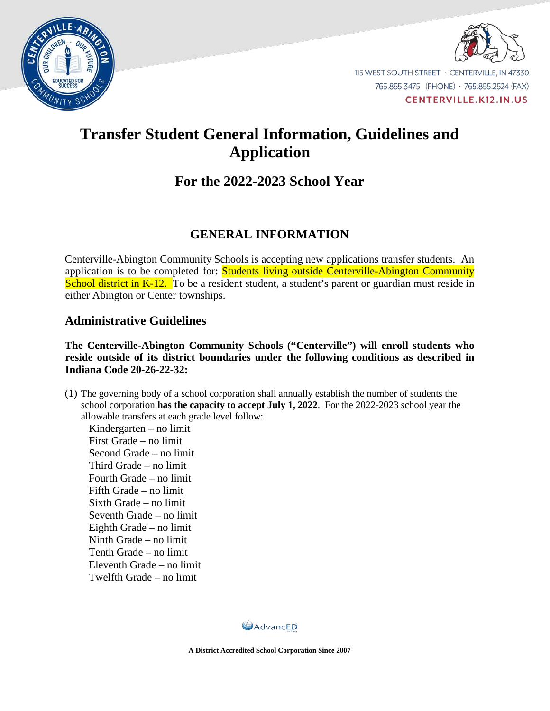



115 WEST SOUTH STREET · CENTERVILLE, IN 47330 765.855.3475 (PHONE) · 765.855.2524 (FAX) **CENTERVILLE.K12.IN.US** 

# **Transfer Student General Information, Guidelines and Application**

## **For the 2022-2023 School Year**

### **GENERAL INFORMATION**

Centerville-Abington Community Schools is accepting new applications transfer students. An application is to be completed for: **Students living outside Centerville-Abington Community** School district in K-12. To be a resident student, a student's parent or guardian must reside in either Abington or Center townships.

#### **Administrative Guidelines**

#### **The Centerville-Abington Community Schools ("Centerville") will enroll students who reside outside of its district boundaries under the following conditions as described in Indiana Code 20-26-22-32:**

(1) The governing body of a school corporation shall annually establish the number of students the school corporation **has the capacity to accept July 1, 2022**. For the 2022-2023 school year the allowable transfers at each grade level follow:

Kindergarten – no limit First Grade – no limit Second Grade – no limit Third Grade – no limit Fourth Grade – no limit Fifth Grade – no limit Sixth Grade – no limit Seventh Grade – no limit Eighth Grade – no limit Ninth Grade – no limit Tenth Grade – no limit Eleventh Grade – no limit Twelfth Grade – no limit

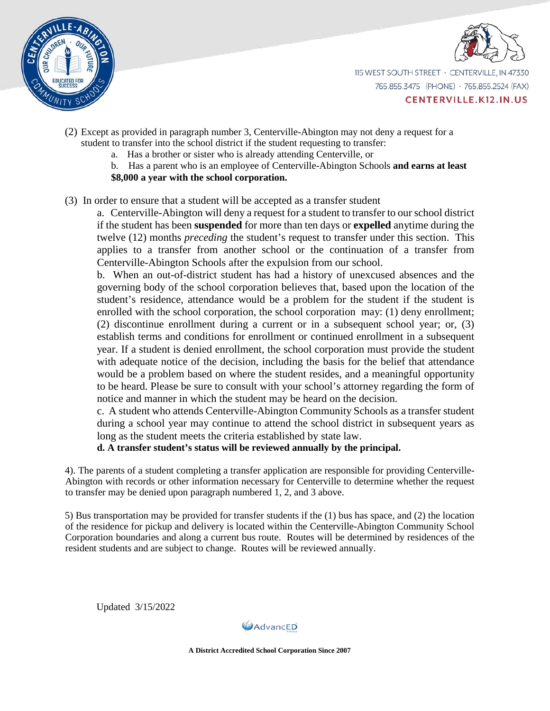



115 WEST SOUTH STREET · CENTERVILLE. IN 47330 765.855.3475 (PHONE) · 765.855.2524 (FAX) **CENTERVILLE.K12.IN.US** 

- (2) Except as provided in paragraph number 3, Centerville-Abington may not deny a request for a student to transfer into the school district if the student requesting to transfer:
	- a. Has a brother or sister who is already attending Centerville, or
	- b. Has a parent who is an employee of Centerville-Abington Schools **and earns at least**
	- **\$8,000 a year with the school corporation.**
- (3) In order to ensure that a student will be accepted as a transfer student

a. Centerville-Abington will deny a request for a student to transfer to our school district if the student has been **suspended** for more than ten days or **expelled** anytime during the twelve (12) months *preceding* the student's request to transfer under this section. This applies to a transfer from another school or the continuation of a transfer from Centerville-Abington Schools after the expulsion from our school.

b. When an out-of-district student has had a history of unexcused absences and the governing body of the school corporation believes that, based upon the location of the student's residence, attendance would be a problem for the student if the student is enrolled with the school corporation, the school corporation may: (1) deny enrollment; (2) discontinue enrollment during a current or in a subsequent school year; or, (3) establish terms and conditions for enrollment or continued enrollment in a subsequent year. If a student is denied enrollment, the school corporation must provide the student with adequate notice of the decision, including the basis for the belief that attendance would be a problem based on where the student resides, and a meaningful opportunity to be heard. Please be sure to consult with your school's attorney regarding the form of notice and manner in which the student may be heard on the decision.

c. A student who attends Centerville-Abington Community Schools as a transfer student during a school year may continue to attend the school district in subsequent years as long as the student meets the criteria established by state law.

 **d. A transfer student's status will be reviewed annually by the principal.**

4). The parents of a student completing a transfer application are responsible for providing Centerville-Abington with records or other information necessary for Centerville to determine whether the request to transfer may be denied upon paragraph numbered 1, 2, and 3 above.

5) Bus transportation may be provided for transfer students if the (1) bus has space, and (2) the location of the residence for pickup and delivery is located within the Centerville-Abington Community School Corporation boundaries and along a current bus route. Routes will be determined by residences of the resident students and are subject to change. Routes will be reviewed annually.

Updated 3/15/2022

AdvancED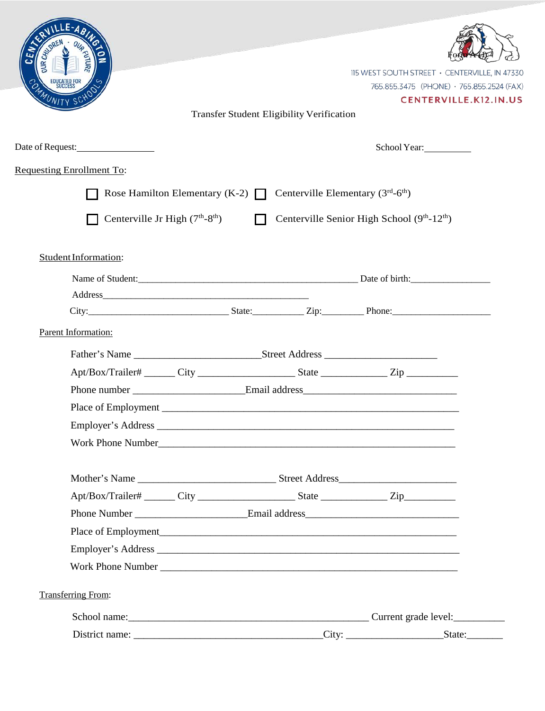| EDUCATED FOR<br>MUNITY SC                                                                            | <b>Transfer Student Eligibility Verification</b> | 115 WEST SOUTH STREET · CENTERVILLE, IN 47330<br>765.855.3475 (PHONE) · 765.855.2524 (FAX)<br><b>CENTERVILLE.K12.IN.US</b> |  |
|------------------------------------------------------------------------------------------------------|--------------------------------------------------|----------------------------------------------------------------------------------------------------------------------------|--|
|                                                                                                      |                                                  |                                                                                                                            |  |
| Date of Request:                                                                                     |                                                  | School Year:                                                                                                               |  |
| <b>Requesting Enrollment To:</b>                                                                     |                                                  |                                                                                                                            |  |
| Rose Hamilton Elementary (K-2) $\Box$ Centerville Elementary (3 <sup>rd</sup> -6 <sup>th</sup> )     |                                                  |                                                                                                                            |  |
| Centerville Jr High $(7th-8th)$                                                                      |                                                  | Centerville Senior High School $(9th-12th)$                                                                                |  |
|                                                                                                      |                                                  |                                                                                                                            |  |
| Student Information:                                                                                 |                                                  |                                                                                                                            |  |
| Name of Student: Date of birth: Date of birth:                                                       |                                                  |                                                                                                                            |  |
|                                                                                                      |                                                  |                                                                                                                            |  |
|                                                                                                      |                                                  |                                                                                                                            |  |
| Parent Information:                                                                                  |                                                  |                                                                                                                            |  |
|                                                                                                      |                                                  |                                                                                                                            |  |
| Apt/Box/Trailer# _______ City ___________________________State _________________Zip ________________ |                                                  |                                                                                                                            |  |
|                                                                                                      |                                                  |                                                                                                                            |  |
|                                                                                                      |                                                  |                                                                                                                            |  |
|                                                                                                      |                                                  |                                                                                                                            |  |
|                                                                                                      |                                                  |                                                                                                                            |  |
|                                                                                                      |                                                  |                                                                                                                            |  |
|                                                                                                      |                                                  |                                                                                                                            |  |
|                                                                                                      |                                                  |                                                                                                                            |  |
|                                                                                                      |                                                  |                                                                                                                            |  |
|                                                                                                      |                                                  |                                                                                                                            |  |
|                                                                                                      |                                                  |                                                                                                                            |  |
| <b>Transferring From:</b>                                                                            |                                                  |                                                                                                                            |  |
|                                                                                                      |                                                  |                                                                                                                            |  |
|                                                                                                      |                                                  |                                                                                                                            |  |